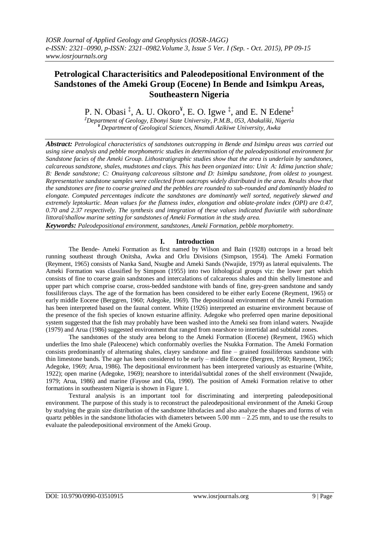# **Petrological Characterisitics and Paleodepositional Environment of the Sandstones of the Ameki Group (Eocene) In Bende and Isimkpu Areas, Southeastern Nigeria**

P. N. Obasi<sup>‡</sup>, A. U. Okoro<sup>¥</sup>, E. O. Igwe<sup>‡</sup>, and E. N Edene<sup>‡</sup> *‡Department of Geology, Ebonyi State University, P.M.B., 053, Abakaliki, Nigeria*

*¥ Department of Geological Sciences, Nnamdi Azikiwe University, Awka*

*Abstract: Petrological characteristics of sandstones outcropping in Bende and Isimkpu areas was carried out using sieve analysis and pebble morphometric studies in determination of the paleodepositional environment for Sandstone facies of the Ameki Group. Lithostratigraphic studies show that the area is underlain by sandstones, calcareous sandstone, shales, mudstones and clays. This has been organized into: Unit A: Idima junction shale; B: Bende sandstone; C: Onuinyang calcareous siltstone and D: Isimkpu sandstone, from oldest to youngest. Representative sandstone samples were collected from outcrops widely distributed in the area. Results show that the sandstones are fine to coarse grained and the pebbles are rounded to sub-rounded and dominantly bladed to elongate. Computed percentages indicate the sandstones are dominantly well sorted, negatively skewed and extremely leptokurtic. Mean values for the flatness index, elongation and oblate-prolate index (OPI) are 0.47, 0.70 and 2.37 respectively. The synthesis and integration of these values indicated fluviatile with subordinate littoral/shallow marine setting for sandstones of Ameki Formation in the study area.*

*Keywords: Paleodepositional environment, sandstones, Ameki Formation, pebble morphometry.*

## **I. Introduction**

The Bende- Ameki Formation as first named by Wilson and Bain (1928) outcrops in a broad belt running southeast through Onitsha, Awka and Orlu Divisions (Simpson, 1954). The Ameki Formation (Reyment, 1965) consists of Nanka Sand, Nsugbe and Ameki Sands (Nwajide, 1979) as lateral equivalents. The Ameki Formation was classified by Simpson (1955) into two lithological groups viz: the lower part which consists of fine to coarse grain sandstones and intercalations of calcareous shales and thin shelly limestone and upper part which comprise coarse, cross-bedded sandstone with bands of fine, grey-green sandstone and sandy fossiliferous clays. The age of the formation has been considered to be either early Eocene (Reyment, 1965) or early middle Eocene (Berggren, 1960; Adegoke, 1969). The depositional environment of the Ameki Formation has been interpreted based on the faunal content. White (1926) interpreted an estuarine environment because of the presence of the fish species of known estuarine affinity. Adegoke who preferred open marine depositional system suggested that the fish may probably have been washed into the Ameki sea from inland waters. Nwajide (1979) and Arua (1986) suggested environment that ranged from nearshore to intertidal and subtidal zones.

The sandstones of the study area belong to the Ameki Formation (Eocene) (Reyment, 1965) which underlies the Imo shale (Paleocene) which conformably overlies the Nsukka Formation. The Ameki Formation consists predominantly of alternating shales, clayey sandstone and fine – grained fossiliferous sandstone with thin limestone bands. The age has been considered to be early – middle Eocene (Bergren, 1960; Reyment, 1965; Adegoke, 1969; Arua, 1986). The depositional environment has been interpreted variously as estuarine (White, 1922); open marine (Adegoke, 1969); nearshore to interidal/subtidal zones of the shelf environment (Nwajide, 1979; Arua, 1986) and marine (Fayose and Ola, 1990). The position of Ameki Formation relative to other formations in southeastern Nigeria is shown in Figure 1.

Textural analysis is an important tool for discriminating and interpreting paleodepositional environment. The purpose of this study is to reconstruct the paleodepositional environment of the Ameki Group by studying the grain size distribution of the sandstone lithofacies and also analyze the shapes and forms of vein quartz pebbles in the sandstone lithofacies with diameters between  $5.00$  mm  $- 2.25$  mm, and to use the results to evaluate the paleodepositional environment of the Ameki Group.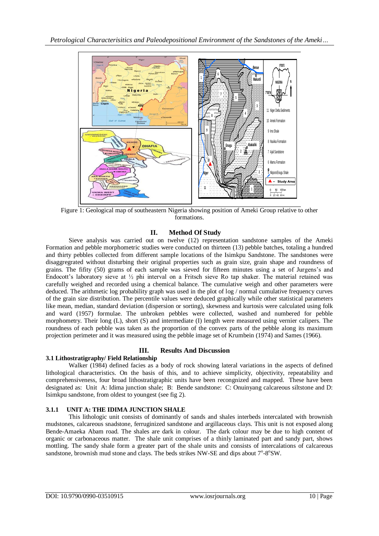

Figure 1: Geological map of southeastern Nigeria showing position of Ameki Group relative to other formations.

## **II. Method Of Study**

Sieve analysis was carried out on twelve (12) representation sandstone samples of the Ameki Formation and pebble morphometric studies were conducted on thirteen (13) pebble batches, totaling a hundred and thirty pebbles collected from different sample locations of the Isimkpu Sandstone. The sandstones were disaggregrated without disturbing their original properties such as grain size, grain shape and roundness of grains. The fifity (50) grams of each sample was sieved for fifteen minutes using a set of Jurgens's and Endocott's laboratory sieve at  $\frac{1}{2}$  phi interval on a Fritsch sieve Ro tap shaker. The material retained was carefully weighed and recorded using a chemical balance. The cumulative weigh and other parameters were deduced. The arithmetic log probability graph was used in the plot of log / normal cumulative frequency curves of the grain size distribution. The percentile values were deduced graphically while other statistical parameters like mean, median, standard deviation (dispersion or sorting), skewness and kurtosis were calculated using folk and ward (1957) formulae. The unbroken pebbles were collected, washed and numbered for pebble morphometry. Their long (L), short (S) and intermediate (I) length were measured using vernier calipers. The roundness of each pebble was taken as the proportion of the convex parts of the pebble along its maximum projection perimeter and it was measured using the pebble image set of Krumbein (1974) and Sames (1966).

#### **III. Results And Discussion 3.1 Lithostratigraphy/ Field Relationship**

Walker (1984) defined facies as a body of rock showing lateral variations in the aspects of defined lithological characteristics. On the basis of this, and to achieve simplicity, objectivity, repeatability and comprehensiveness, four broad lithostratigraphic units have been recongnized and mapped. These have been designated as: Unit A: Idima junction shale; B: Bende sandstone: C: Onuinyang calcareous siltstone and D: Isimkpu sandstone, from oldest to youngest (see fig 2).

## **3.1.1 UNIT A: THE IDIMA JUNCTION SHALE**

This lithologic unit consists of dominantly of sands and shales interbeds intercalated with brownish mudstones, calcareous snadstone, ferruginized sandstone and argillaceous clays. This unit is not exposed along Bende-Amaeka Abam road. The shales are dark in colour. The dark colour may be due to high content of organic or carbonaceous matter. The shale unit comprises of a thinly laminated part and sandy part, shows mottling. The sandy shale form a greater part of the shale units and consists of intercalations of calcareous sandstone, brownish mud stone and clays. The beds strikes NW-SE and dips about  $7^{\circ}$ -8 $^{\circ}$ SW.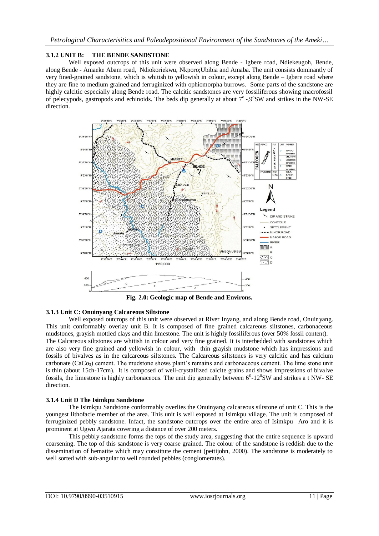## **3.1.2 UNIT B: THE BENDE SANDSTONE**

Well exposed outcrops of this unit were observed along Bende - Igbere road, Ndiekeugoh, Bende, along Bende - Amaeke Abam road, Ndiokoriekwu, Nkporo;Ubibia and Amaba. The unit consists dominantly of very fined-grained sandstone, which is whitish to yellowish in colour, except along Bende – Igbere road where they are fine to medium grained and ferruginized with ophiomorpha burrows. Some parts of the sandstone are highly calcitic especially along Bende road. The calcitic sandstones are very fossiliferous showing macrofossil of pelecypods, gastropods and echinoids. The beds dip generally at about 7°-9°SW and strikes in the NW-SE direction.



**Fig. 2.0: Geologic map of Bende and Environs.**

#### **3.1.3 Unit C: Onuinyang Calcareous Siltstone**

Well exposed outcrops of this unit were observed at River Inyang, and along Bende road, Onuinyang. This unit conformably overlay unit B. It is composed of fine grained calcareous siltstones, carbonaceous mudstones, grayish mottled clays and thin limestone. The unit is highly fossiliferous (over 50% fossil content). The Calcareous siltstones are whitish in colour and very fine grained. It is interbedded with sandstones which are also very fine grained and yellowish in colour, with thin grayish mudstone which has impressions and fossils of bivalves as in the calcareous siltstones. The Calcareous siltstones is very calcitic and has calcium carbonate ( $CaCo<sub>3</sub>$ ) cement. The mudstone shows plant's remains and carbonaceous cement. The lime stone unit is thin (about 15ch-17cm). It is composed of well-crystallized calcite grains and shows impressions of bivalve fossils, the limestone is highly carbonaceous. The unit dip generally between  $6^0$ -12 $^0$ SW and strikes a t NW-SE direction.

#### **3.1.4 Unit D The Isimkpu Sandstone**

The Isimkpu Sandstone conformably overlies the Onuinyang calcareous siltstone of unit C. This is the youngest lithofacie member of the area. This unit is well exposed at Isimkpu village. The unit is composed of ferruginized pebbly sandstone. Infact, the sandstone outcrops over the entire area of Isimkpu Aro and it is prominent at Ugwu Ajarata covering a distance of over 200 meters.

This pebbly sandstone forms the tops of the study area, suggesting that the entire sequence is upward coarsening. The top of this sandstone is very coarse grained. The colour of the sandstone is reddish due to the dissemination of hematite which may constitute the cement (pettijohn, 2000). The sandstone is moderately to well sorted with sub-angular to well rounded pebbles (conglomerates).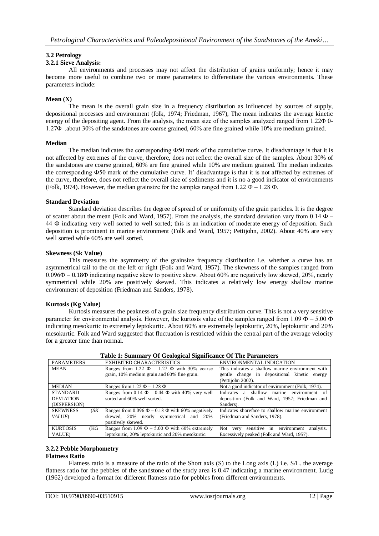## **3.2 Petrology**

## **3.2.1 Sieve Analysis:**

All environments and processes may not affect the distribution of grains uniformly; hence it may become more useful to combine two or more parameters to differentiate the various environments. These parameters include:

## **Mean (X)**

The mean is the overall grain size in a frequency distribution as influenced by sources of supply, depositional processes and environment (folk, 1974; Friedman, 1967), The mean indicates the average kinetic energy of the depositing agent. From the analysis, the mean size of the samples analyzed ranged from 1.22Φ 0- 1.27Φ .about 30% of the sandstones are coarse grained, 60% are fine grained while 10% are medium grained.

#### **Median**

The median indicates the corresponding Φ50 mark of the cumulative curve. It disadvantage is that it is not affected by extremes of the curve, therefore, does not reflect the overall size of the samples. About 30% of the sandstones are coarse grained, 60% are fine grained while 10% are medium grained. The median indicates the corresponding Ф50 mark of the cumulative curve. It' disadvantage is that it is not affected by extremes of the curve, therefore, does not reflect the overall size of sediments and it is no a good indicator of environments (Folk, 1974). However, the median grainsize for the samples ranged from 1.22  $\Phi$  – 1.28  $\Phi$ .

## **Standard Deviation**

Standard deviation describes the degree of spread of or uniformity of the grain particles. It is the degree of scatter about the mean (Folk and Ward, 1957). From the analysis, the standard deviation vary from  $0.14 \Phi -$ 44 Ф indicating very well sorted to well sorted; this is an indication of moderate energy of deposition. Such deposition is prominent in marine environment (Folk and Ward, 1957; Pettijohn, 2002). About 40% are very well sorted while 60% are well sorted.

#### **Skewness (Sk Value)**

This measures the asymmetry of the grainsize frequency distribution i.e. whether a curve has an asymmetrical tail to the on the left or right (Folk and Ward, 1957). The skewness of the samples ranged from 0.096Ф – 0.18Ф indicating negative skew to positive skew. About 60% are negatively low skewed, 20%, nearly symmetrical while 20% are positively skewed. This indicates a relatively low energy shallow marine environment of deposition (Friedman and Sanders, 1978).

#### **Kurtosis (Kg Value)**

Kurtosis measures the peakness of a grain size frequency distribution curve. This is not a very sensitive parameter for environmental analysis. However, the kurtosis value of the samples ranged from 1.09  $\Phi$  – 5.00  $\Phi$ indicating mesokurtic to extremely leptokurtic. About 60% are extremely leptokurtic, 20%, leptokurtic and 20% mesokurtic. Folk and Ward suggested that fluctuation is restricted within the central part of the average velocity for a greater time than normal.

| <b>PARAMETERS</b>                                   | <b>EXHIBITED CHARACTERISTICS</b>                                                                                              | ENVIRONMENTAL INDICATION                                                                                              |
|-----------------------------------------------------|-------------------------------------------------------------------------------------------------------------------------------|-----------------------------------------------------------------------------------------------------------------------|
| <b>MEAN</b>                                         | Ranges from 1.22 $\Phi$ – 1.27 $\Phi$ with 30% coarse<br>grain, 10% medium grain and 60% fine grain.                          | This indicates a shallow marine environment with<br>gentle change in depositional kinetic energy<br>(Pettijohn 2002). |
| <b>MEDIAN</b>                                       | Ranges from 1.22 $\Phi$ – 1.28 $\Phi$                                                                                         | Not a good indicator of environment (Folk, 1974).                                                                     |
| <b>STANDARD</b><br><b>DEVIATION</b><br>(DISPERSION) | Ranges from 0.14 $\Phi$ – 0.44 $\Phi$ with 40% very well<br>sorted and 60% well sorted.                                       | Indicates a shallow marine environment of<br>deposition (Folk and Ward, 1957; Friedman and<br>Sanders).               |
| <b>SKEWNESS</b><br>(SK<br><i>VALUE</i> )            | Ranges from 0.096 $\Phi$ – 0.18 $\Phi$ with 60% negatively<br>skewed, 20% nearly symmetrical and<br>20%<br>positively skewed. | Indicates shoreface to shallow marine environment<br>(Friedman and Sanders, 1978).                                    |
| <b>KURTOSIS</b><br>(KG)<br>VALUE)                   | Ranges from 1.09 $\Phi$ – 5.00 $\Phi$ with 60% extremely<br>leptokurtic, 20% leptokurtic and 20% mesokurtic.                  | sensitive in environment<br>analysis.<br>Not<br>very<br>Excessively peaked (Folk and Ward, 1957).                     |

**Table 1: Summary Of Geological Significance Of The Parameters**

## **3.2.2 Pebble Morphometry**

## **Flatness Ratio**

Flatness ratio is a measure of the ratio of the Short axis (S) to the Long axis (L) i.e. S/L. the average flatness ratio for the pebbles of the sandstone of the study area is 0.47 indicating a marine environment. Lutig (1962) developed a format for different flatness ratio for pebbles from different environments.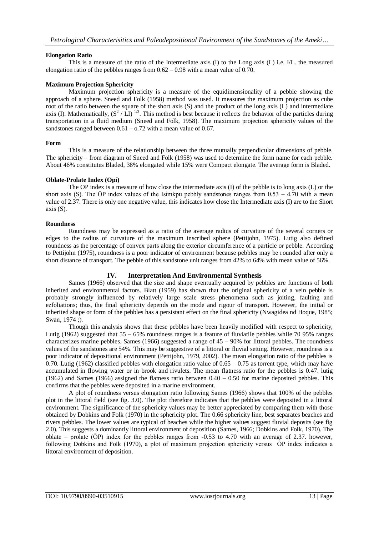## **Elongation Ratio**

This is a measure of the ratio of the Intermediate axis (I) to the Long axis (L) i.e. I/L. the measured elongation ratio of the pebbles ranges from  $0.62 - 0.98$  with a mean value of 0.70.

## **Maximum Projection Sphericity**

Maximum projection sphericity is a measure of the equidimensionality of a pebble showing the approach of a sphere. Sneed and Folk (1958) method was used. It measures the maximum projection as cube root of the ratio between the square of the short axis (S) and the product of the long axis (L) and intermediate axis (I). Mathematically,  $(S^2 / L)$  <sup>1/3</sup>. This method is best because it reflects the behavior of the particles during transportation in a fluid medium (Sneed and Folk, 1958). The maximum projection sphericity values of the sandstones ranged between  $0.61 - 0.72$  with a mean value of 0.67.

#### **Form**

This is a measure of the relationship between the three mutually perpendicular dimensions of pebble. The sphericity – from diagram of Sneed and Folk (1958) was used to determine the form name for each pebble. About 46% constitutes Bladed, 38% elongated while 15% were Compact elongate. The average form is Bladed.

## **Oblate-Prolate Index (Opi)**

The OP index is a measure of how close the intermediate axis (I) of the pebble is to long axis (L) or the short axis (S). The  $\overline{OP}$  index values of the Isimkpu pebbly sandstones ranges from  $0.53 - 4.70$  with a mean value of 2.37. There is only one negative value, this indicates how close the Intermediate axis (I) are to the Short axis (S).

## **Roundness**

Roundness may be expressed as a ratio of the average radius of curvature of the several corners or edges to the radius of curvature of the maximum inscribed sphere (Pettijohn, 1975). Lutig also defined roundness as the percentage of convex parts along the exterior circumference of a particle or pebble. According to Pettijohn (1975), roundness is a poor indicator of environment because pebbles may be rounded after only a short distance of transport. The pebble of this sandstone unit ranges from 42% to 64% with mean value of 56%.

## **IV. Interpretation And Environmental Synthesis**

Sames (1966) observed that the size and shape eventually acquired by pebbles are functions of both inherited and environmental factors. Blatt (1959) has shown that the original sphericity of a vein pebble is probably strongly influenced by relatively large scale stress phenomena such as joiting, faulting and ezfoliations; thus, the final sphericity depends on the mode and rigour of transport. However, the initial or inherited shape or form of the pebbles has a persistant effect on the final sphericity (Nwagidea nd Hoque, 1985; Swan, 1974 ;).

Though this analysis shows that these pebbles have been heavily modified with respect to sphericity, Lutig (1962) suggested that 55 – 65% roundness ranges is a feature of fluviatile pebbles while 70 95% ranges characterizes marine pebbles. Sames (1966) suggested a range of  $45 - 90\%$  for littoral pebbles. The roundness values of the sandstones are 54%. This may be suggestive of a littoral or fluvial setting. However, roundness is a poor indicator of depositional environment (Pettijohn, 1979, 2002). The mean elongation ratio of the pebbles is 0.70. Lutig (1962) classified pebbles with elongation ratio value of  $0.65 - 0.75$  as torrent type, which may have accumulated in flowing water or in brook and rivulets. The mean flatness ratio for the pebbles is 0.47. lutig (1962) and Sames (1966) assigned the flatness ratio between  $0.40 - 0.50$  for marine deposited pebbles. This confirms that the pebbles were deposited in a marine environment.

A plot of roundness versus elongation ratio following Sames (1966) shows that 100% of the pebbles plot in the littoral field (see fig. 3.0). The plot therefore indicates that the pebbles were deposited in a littoral environment. The significance of the sphericity values may be better appreciated by comparing them with those obtained by Dobkins and Folk (1970) in the sphericity plot. The 0.66 sphericity line, best separates beaches and rivers pebbles. The lower values are typical of beaches while the higher values suggest fluvial deposits (see fig 2.0). This suggests a dominantly littoral environment of deposition (Sames, 1966; Dobkins and Folk, 1970). The oblate – prolate  $(\overline{OP})$  index for the pebbles ranges from  $-0.53$  to 4.70 with an average of 2.37. however, following Dobkins and Folk (1970), a plot of maximum projection sphericity versus ŌP index indicates a littoral environment of deposition.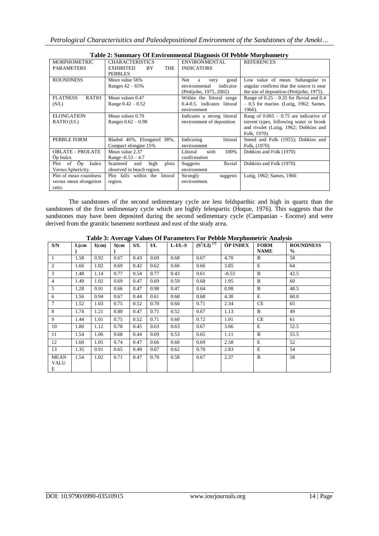| Table 2: Summary Of Environmental Diagnosis Of Pebble Morphometry |                                                                                  |                                                                                    |                                                                                                                                              |  |  |  |  |  |  |
|-------------------------------------------------------------------|----------------------------------------------------------------------------------|------------------------------------------------------------------------------------|----------------------------------------------------------------------------------------------------------------------------------------------|--|--|--|--|--|--|
| <b>MORPHOMETRIC</b><br><b>PARAMETERS</b>                          | <b>CHARACTERISTICS</b><br><b>THE</b><br><b>EXHIBITED</b><br>BY<br><b>PEBBLES</b> | ENVIRONMENTAL<br><b>INDICATORS</b>                                                 | <b>REFERENCES</b>                                                                                                                            |  |  |  |  |  |  |
| <b>ROUNDNESS</b>                                                  | Mean value 56%<br>Ranges $42 - 65%$                                              | Not.<br>good<br>a<br>very<br>indicator<br>environmental<br>(Pettijohn, 1975, 2002) | Low value of mean. Subangular to<br>angular confirms that the source is near<br>the site of deposition (Pettijohn, 1975).                    |  |  |  |  |  |  |
| <b>FLATNESS</b><br><b>RATIO</b><br>(S/L)                          | Mean values 0.47<br>Range $0.42 - 0.52$                                          | Within the littoral range<br>0.4-0.5. indicates littoral<br>environment            | Range of $0.25 - 0.35$ for fluvial and 0.4<br>$-0.5$ for marine. (Lutig, 1962; Sames,<br>1966).                                              |  |  |  |  |  |  |
| <b>ELONGATION</b><br>RATIO (I/L)                                  | Mean values 0.70<br>Ranges $0.62 - 0.98$                                         | Indicates a strong littoral<br>environment of deposition                           | Rang of $0.065 - 0.75$ are indicative of<br>torrent types, following water or brook<br>and rivulet (Lutig, 1962; Dobkins and<br>Folk, 1970). |  |  |  |  |  |  |
| PEBBLE FORM                                                       | Bladed 46%, Elongated 38%,<br>Compact elongate 15%                               | Indicating<br>littoral<br>environment                                              | Sneed and Folk (1955); Dobkins and<br>Folk, (1970)                                                                                           |  |  |  |  |  |  |
| <b>OBLATE - PROLATE</b><br>Op Index                               | Mean value 2.37<br>Range $-0.53 - 4.7$                                           | 100%<br>Littoral<br>with<br>confirmation                                           | Dobkins and Folk (1970)                                                                                                                      |  |  |  |  |  |  |
| Ōp<br>of<br>Index<br>Plot<br>Versus Sphericity.                   | Scattered<br>and<br>high<br>plots<br>observed in beach region.                   | fluvial<br>Suggests<br>environment                                                 | Dobkins and Folk (1970)                                                                                                                      |  |  |  |  |  |  |
| Plot of mean roundness<br>versus mean elongation<br>ratio.        | Plot falls within the littoral<br>region.                                        | Strongly<br>suggests<br>environment.                                               | Lutig, 1962; Sames, 1966                                                                                                                     |  |  |  |  |  |  |

**Table 2: Summary Of Environmental Diagnosis Of Pebble Morphometry**

The sandstones of the second sedimentary cycle are less feldsparthic and high in quartz than the sandstones of the first sedimentary cycle which are highly felespartic (Hoque, 1976). This suggests that the sandstones may have been deposited during the second sedimentary cycle (Campanian - Eocene) and were derived from the granitic basement northeast and east of the study area.

|  |  |  |  | Table 3: Average Values Of Parameters For Pebble Morphometric Analysis |  |
|--|--|--|--|------------------------------------------------------------------------|--|
|  |  |  |  |                                                                        |  |

| S/N                      | $L$ (cm | $I$ (cm) | $S$ (cm | S/L  | I/L  | $L$ - $I/L$ - $S$ | $(S^2/LI)^{1/3}$ | <b>ŌP INDEX</b> | <b>FORM</b><br><b>NAME</b> | <b>ROUNDNESS</b><br>$\frac{0}{0}$ |
|--------------------------|---------|----------|---------|------|------|-------------------|------------------|-----------------|----------------------------|-----------------------------------|
| 1                        | 1.58    | 0.92     | 0.67    | 0.43 | 0.69 | 0.68              | 0.67             | 4.70            | <sub>B</sub>               | 58                                |
| 2                        | 1.66    | 1.02     | 0.69    | 0.42 | 0.62 | 0.66              | 0.66             | 3.85            | E                          | 64                                |
| 3                        | 1.48    | 1.14     | 0.77    | 0.54 | 0.77 | 0.43              | 0.61             | $-0.53$         | B                          | 42.5                              |
| 4                        | 1.49    | 1.02     | 0.69    | 0.47 | 0.69 | 0.59              | 0.68             | 1.95            | B                          | 60                                |
| 5                        | 1.28    | 0.91     | 0.66    | 0.47 | 0.98 | 0.47              | 0.64             | 0.98            | B                          | 48.5                              |
| 6                        | 1.56    | 0.94     | 0.67    | 0.44 | 0.61 | 0.68              | 0.68             | 4.30            | E                          | 60.0                              |
| $\tau$                   | 1.52    | 1.03     | 0.75    | 0.52 | 0.70 | 0.60              | 0.71             | 2.34            | <b>CE</b>                  | 65                                |
| 8                        | 1.74    | 1.21     | 0.80    | 0.47 | 0.71 | 0.52              | 0.67             | 1.13            | <sub>B</sub>               | 49                                |
| 9                        | 1.44    | 1.01     | 0.75    | 0.52 | 0.71 | 0.60              | 0.72             | 1.91            | <b>CE</b>                  | 61                                |
| 10                       | 1.80    | 1.12     | 0.78    | 0.45 | 0.63 | 0.63              | 0.67             | 3.66            | E                          | 52.5                              |
| 11                       | 1.54    | 1.06     | 0.68    | 0.44 | 0.69 | 0.53              | 0.65             | 1.11            | B                          | 55.5                              |
| 12                       | 1.60    | 1.05     | 0.74    | 0.47 | 0.66 | 0.60              | 0.69             | 2.58            | E                          | 52                                |
| 13                       | 1.35    | 0.91     | 0.65    | 0.49 | 0.67 | 0.62              | 0.70             | 2.83            | E                          | 54                                |
| <b>MEAN</b><br>VALU<br>Е | 1.54    | 1.02     | 0.71    | 0.47 | 0.70 | 0.58              | 0.67             | 2.37            | <sup>B</sup>               | 58                                |